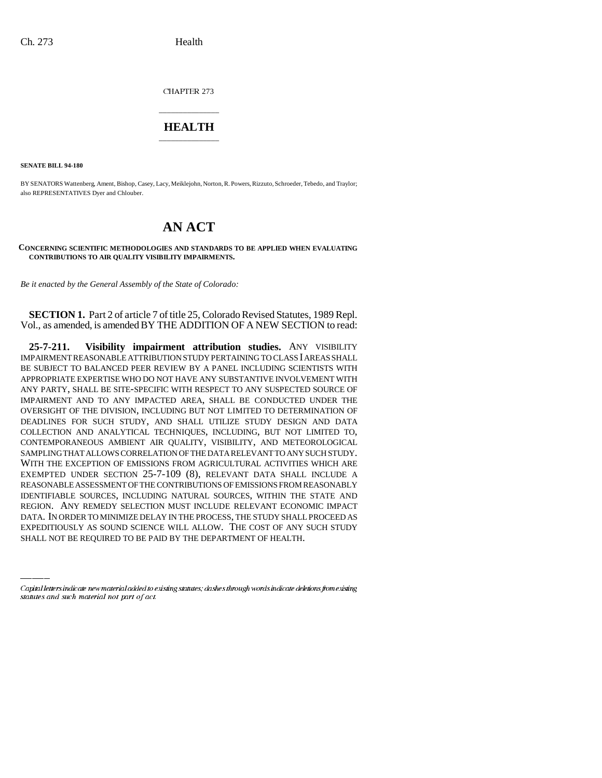CHAPTER 273

## \_\_\_\_\_\_\_\_\_\_\_\_\_\_\_ **HEALTH** \_\_\_\_\_\_\_\_\_\_\_\_\_\_\_

**SENATE BILL 94-180**

BY SENATORS Wattenberg, Ament, Bishop, Casey, Lacy, Meiklejohn, Norton, R. Powers, Rizzuto, Schroeder, Tebedo, and Traylor; also REPRESENTATIVES Dyer and Chlouber.

## **AN ACT**

## **CONCERNING SCIENTIFIC METHODOLOGIES AND STANDARDS TO BE APPLIED WHEN EVALUATING CONTRIBUTIONS TO AIR QUALITY VISIBILITY IMPAIRMENTS.**

*Be it enacted by the General Assembly of the State of Colorado:*

**SECTION 1.** Part 2 of article 7 of title 25, Colorado Revised Statutes, 1989 Repl. Vol., as amended, is amended BY THE ADDITION OF A NEW SECTION to read:

REGION. ANY REMEDY SELECTION MUST INCLUDE RELEVANT ECONOMIC IMPACT **25-7-211. Visibility impairment attribution studies.** ANY VISIBILITY IMPAIRMENT REASONABLE ATTRIBUTION STUDY PERTAINING TO CLASS I AREAS SHALL BE SUBJECT TO BALANCED PEER REVIEW BY A PANEL INCLUDING SCIENTISTS WITH APPROPRIATE EXPERTISE WHO DO NOT HAVE ANY SUBSTANTIVE INVOLVEMENT WITH ANY PARTY, SHALL BE SITE-SPECIFIC WITH RESPECT TO ANY SUSPECTED SOURCE OF IMPAIRMENT AND TO ANY IMPACTED AREA, SHALL BE CONDUCTED UNDER THE OVERSIGHT OF THE DIVISION, INCLUDING BUT NOT LIMITED TO DETERMINATION OF DEADLINES FOR SUCH STUDY, AND SHALL UTILIZE STUDY DESIGN AND DATA COLLECTION AND ANALYTICAL TECHNIQUES, INCLUDING, BUT NOT LIMITED TO, CONTEMPORANEOUS AMBIENT AIR QUALITY, VISIBILITY, AND METEOROLOGICAL SAMPLING THAT ALLOWS CORRELATION OF THE DATA RELEVANT TO ANY SUCH STUDY. WITH THE EXCEPTION OF EMISSIONS FROM AGRICULTURAL ACTIVITIES WHICH ARE EXEMPTED UNDER SECTION 25-7-109 (8), RELEVANT DATA SHALL INCLUDE A REASONABLE ASSESSMENT OF THE CONTRIBUTIONS OF EMISSIONS FROM REASONABLY IDENTIFIABLE SOURCES, INCLUDING NATURAL SOURCES, WITHIN THE STATE AND DATA. IN ORDER TO MINIMIZE DELAY IN THE PROCESS, THE STUDY SHALL PROCEED AS EXPEDITIOUSLY AS SOUND SCIENCE WILL ALLOW. THE COST OF ANY SUCH STUDY SHALL NOT BE REQUIRED TO BE PAID BY THE DEPARTMENT OF HEALTH.

Capital letters indicate new material added to existing statutes; dashes through words indicate deletions from existing statutes and such material not part of act.